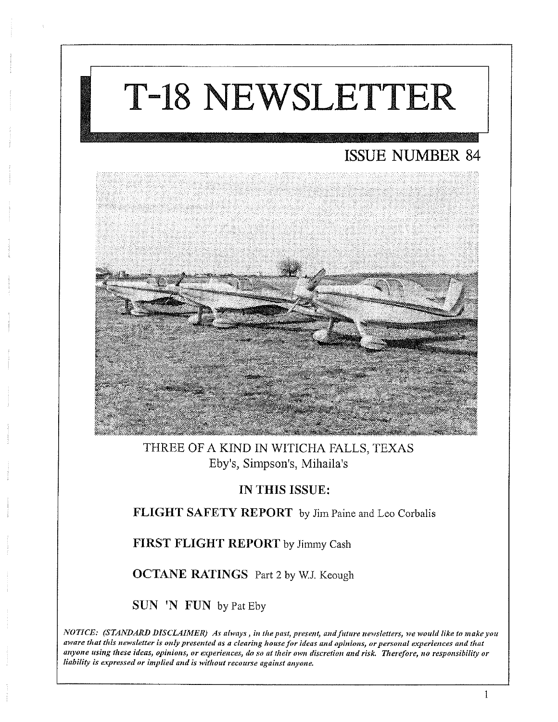# T-18 NEWSLETTER

## ISSUE NUMBER 84



THREE OF A KIND IN WITICHA FALLS, TEXAS Eby's, Simpson's, Mihaila's

## IN THIS ISSUE:

FLIGHT SAFETY REPORT by Jim Paine and Leo Corbalis

FIRST FLIGHT REPORT by Jimmy Cash

OCTANE RATINGS Part 2 by WI. Keough

SUN 'N FUN by Pat Eby

*NOTICE: (STANDARD DISCLAIMER) As always, in the past, present, and future newsletters, we would like to make you* aware that this newsletter is only presented as a clearing house for ideas and opinions, or personal experiences and that anyone using these ideas, opinions, or experiences, do so at their own discretion and risk. Therefore, no responsibility or *liability is expressed or implied and is without recourse against anyone.*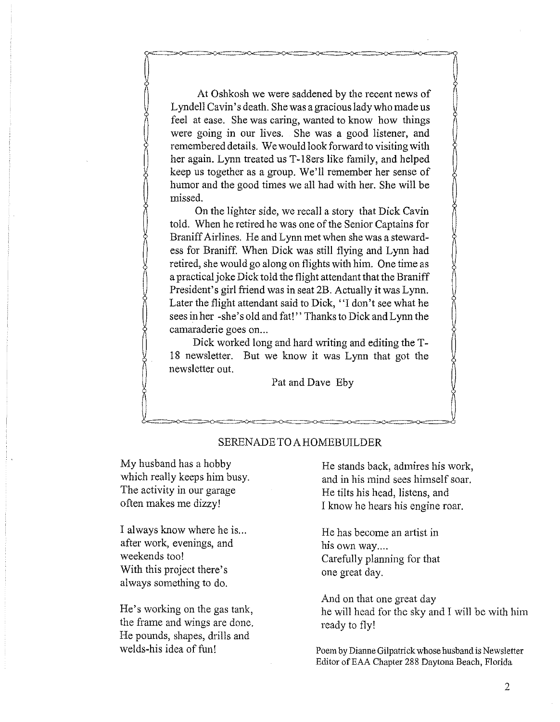At Oshkosh we were saddened by the recent news of Lyndell Cavin's death. She was a gracious lady who made us feel at ease. She was caring, wanted to know how things were going in our lives. She was a good listener, and remembered details. We would look forward to visiting with her again. Lynn treated us T-18ers like family, and helped keep us together as a group. We'll remember her sense of humor and the good times we all had with her. She will be missed.

On the lighter side, we recall a story that Dick Cavin told. When he retired he was one of the Senior Captains for Braniff Airlines. He and Lynn met when she was a stewardess for Braniff. When Dick was still flying and Lynn had retired, she would go along on flights with him. One time as a practical joke Dick told the flight attendant that the Braniff President's girl friend was in seat 2B. Actually it was Lynn. Later the flight attendant said to Dick, "I don't see what he sees in her -she's old and fat!" Thanks to Dick and Lynn the camaraderie goes on...

Dick worked long and hard writing and editing the T-18 newsletter. But we know it was Lynn that got the newsletter out.

Pat and Dave Eby

## SERENADE TO A HOMEBUTLDER

My husband has a hobby which really keeps him busy. The activity in our garage often makes me dizzy!

I always know where he is... after work, evenings, and weekends too! With this project there's always something to do.

He's working on the gas tank, the frame and wings are done. He pounds, shapes, drills and welds-his idea of fun!

He stands back, admires his work, and in his mind sees himself soar. He tilts his head, listens, and I know he hears his engine roar.

He has become an artist in his own way.... Carefully planning for that one great day.

And on that one great day he will head for the sky and I will be with him ready to fly!

Poem by Dianne Gilpatrick whose husband is Newsletter Editor of EAA Chapter 288 Daytona Beach, Florida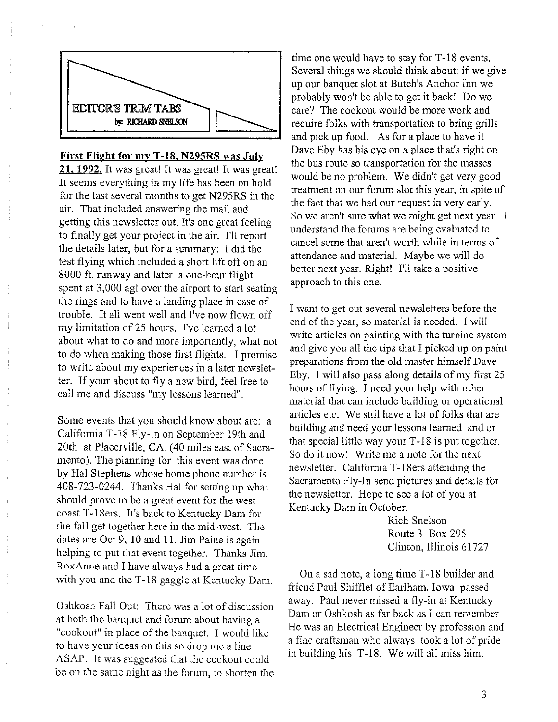

## **First Flight for my T-18, N295RS was July**

**21. 1992,** It was great! It was great! It was great! It seems everything in my life has been on hold for the last several months to get N295RS in the air. That included answering the mail and getting this newsletter out. It's one great feeling to finally get your project in the air. I'll report the details later, but for a summary: I did the test flying which included a short lift off on an 8000 ft. runway and later a one-hour flight spent at  $3,000$  agl over the airport to start seating the rings and to have a landing place in case of trouble. It all went well and I've now flown off my limitation of 25 hours. I've learned a lot about what to do and more importantly, what not to do when making those first flights. I promise to write about my experiences in a later newsletter. If your about to fly a new bird, feel free to call me and discuss "my lessons learned".

Some events that you should know about are: a California T-18 Fly-In on September 19th and 20th at Placerville, CA. (40 miles east of Sacramento). The planning for this event was done by Hal Stephens whose home phone number is 408-723-0244. Thanks Hal for setting up what should prove to be a great event for the west coast T-18ers. It's back to Kentucky Dam for the fall get together here in the mid-west. The dates are Oct 9, 10 and 11. Jim Paine is again helping to put that event together. Thanks Jim. RoxAnne and I have always had a great time with you and the T-18 gaggle at Kentucky Dam.

Oshkosh Fall Out: There was a lot of discussion at both the banquet and forum about having a "cookout" in place of the banquet. I would like to have your ideas on this so drop me a line ASAP. It was suggested that the cookout could be on the same night as the forum, to shorten the

time one would have to stay for T-18 events. Several things we should think about: if we give up our banquet slot at Butch's Anchor Inn we probably won't be able to get it back! Do we care? The cookout would be more work and require folks with transportation to bring grills and pick up food. As for a place to have It Dave Eby has his eye on a place that's right on the bus route so transportation for the masses would be no problem. We didn't get very good treatment on our forum slot this year, in spite of the fact that we had our request in very early. So we aren't sure what we might get next year. I understand the forums are being evaluated to cancel some that aren't worth while in terms of attendance and material. Maybe we will do better next year. Right! I'll take a positive approach to this one.

I want to get out several newsletters before the end of the year, so material is needed. I will write articles on painting with the turbine system and give you all the tips that I picked up on paint preparations from the old master himself Dave Eby. I will also pass along details of my first 25 hours of flying. I need your help with other material that can include building or operational articles etc. We still have a lot of folks that are building and need your lessons learned and or that special little way your  $T-18$  is put together. So do it now! Write me a note for the next newsletter. California T-18ers attending the Sacramento Fly-In send pictures and details for the newsletter. Hope to see a lot of you at Kentucky Dam in October.

> Rich Snelson Route 3 Box 295 Clinton, Illinois 61727

On a sad note, a long time T-18 builder and friend Paul Shifflet of Earlham, Iowa passed away. Paul never missed a fly-in at Kentucky Dam or Oshkosh as far back as I can remember. He was an Electrical Engineer by profession and a fine craftsman who always took a lot of pride in building his T-18. We will all miss him.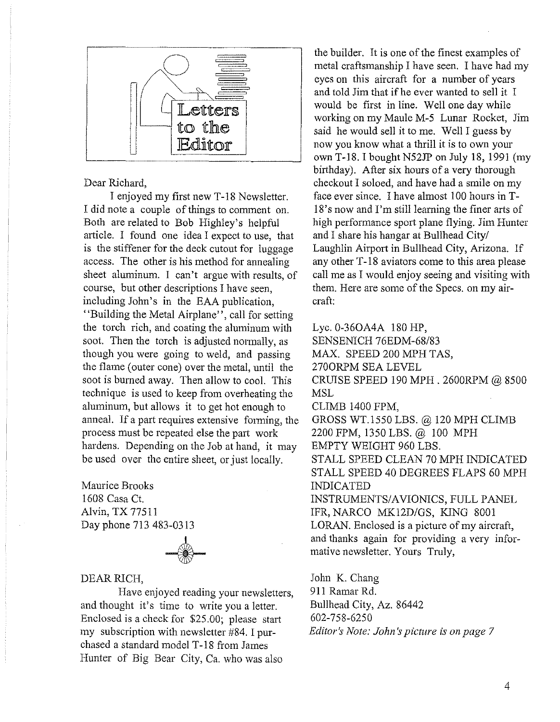

## Dear Richard,

I enjoyed my first new T -18 Newsletter. I did note a couple of things to comment on. Both are related to Bob Highley's helpful article. I found one idea I expect to use, that is the stiffener for the deck cutout for luggage access. The other is his method for annealing sheet aluminum. I can't argue with results, of course, but other descriptions I have seen, including John's in the EAA publication, "Building the Metal Airplane", call for setting the torch rich, and coating the aluminum with soot. Then the torch is adjusted normally, as though you were going to weld, and passing the flame (outer cone) over the metal, until the soot is burned away. Then allow to cool. This technique is used to keep from overheating the aluminum, but allows it to get hot enough to anneal. If a part requires extensive forming, the process must be repeated else the part work hardens. Depending on the Job at hand, it may be used over the entire sheet, or just locally.

Maurice Brooks 1608 Casa Ct. Alvin, TX 77511 Day phone 713 483-0313



#### DEAR RlCH,

Have enjoyed reading your newsletters, and thought it's time to write you a letter. Enclosed is a check for \$25.00; please start my subscription with newsletter #84. I purchased a standard model T-18 from James Hunter of Big Bear City, Ca. who was also

the builder. It is one of the finest examples of metal craftsmanship I have seen. I have had my eyes on this aircraft for a number of years and told Jim that ifhe ever wanted to sell it I would be first in line. Well one day while working on my Maule M-5 Lunar Rocket, Jim said he would sell it to me. Well I guess by now you know what a thrill it is to own your own T-IS. I bought N52JP on July IS, 1991 (my birthday). After six hours of a very thorough checkout I soloed, and have had a smile on my face ever since. I have almost 100 hours in T-IS's now and I'm still learning the finer arts of high performance sport plane flying. Jim Hunter and I share his hangar at Bullhead City/ Laughlin Airport in Bullhead City, Arizona. If any other T-18 aviators come to this area please call me as I would enjoy seeing and visiting with them. Here are some of the Specs. on my aircraft:

Lyc.0-360A4A 180 HP, SENSENICH 76EDM-68/83 MAX. SPEED 200 MPH TAS, 2700RPM SEA LEVEL CRUISE SPEED 190 MPH. 2600RPM @ 8500 MSL CLIMB 1400 FPM, GROSS WT.1550 LBS. @ 120 MPH CLIMB 2200 FPM, 1350 LBS. @ 100 MPH EMPTY WEIGHT 960 LBS. STALL SPEED CLEAN 70 MPH INDICATED

STALL SPEED 40 DEGREES FLAPS 60 MPH INDICATED INSTRUMENTS/AVIONICS, FULL PANEL IFR, NARCO MKI2D/GS, KING 8001 LORAN. Enclosed is a picture of my aircraft, and thanks again for providing a very informative newsletter. Yours Truly,

John K. Chang 911 Ramar Rd. Bullhead City, Az. 86442 602-758-6250 *Editor's Note: John's picture is on page 7*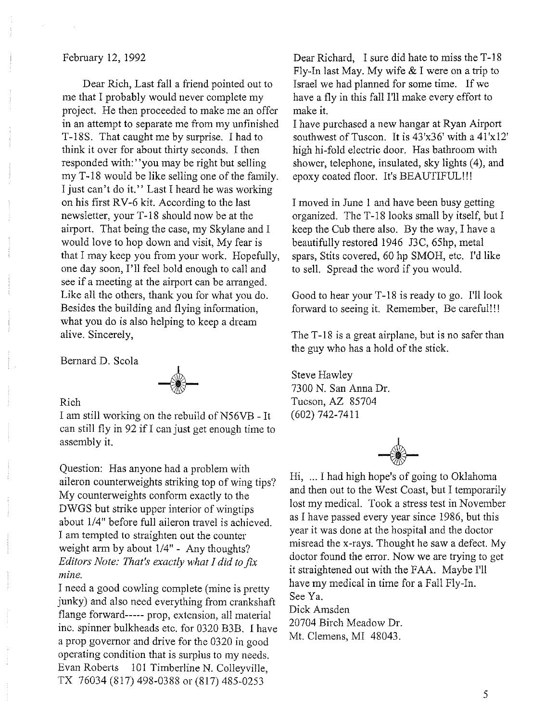### February 12, 1992

Dear Rich, Last fall a friend pointed out to me that I probably would never complete my project. He then proceeded to make me an offer in an attempt to separate me from my unfinished T-18S. That caught me by surprise. I had to think it over for about thirty seconds. I then responded with:" you may be right but selling my T-18 would be like selling one of the family. I just can't do it." Last I heard he was working on his first RV -6 kit. According to the last newsletter, your T-18 should now be at the airport. That being the case, my Skylane and I would love to hop down and visit, My fear is that I may keep you from your work. Hopefully, one day soon, I'll feel bold enough to call and see if a meeting at the airport can be arranged. Like all the others, thank you for what you do. Besides the building and flying information, what you do is also helping to keep a dream alive. Sincerely,

Bernard D. Scola

#### Rich

I am still working on the rebuild of N56VB - It can still fly in 92 ifI can just get enough time to assembly it.

Question: Has anyone had a problem with aileron counterweights striking top of wing tips? My counterweights conform exactly to the DWGS but strike upper interior of wingtips about 114" before full aileron travel is achieved. I am tempted to straighten out the counter weight arm by about  $1/4"$  - Any thoughts? *Editors Note: That's exactly what I did to fIX mine.* 

I need a good cowling complete (mine is pretty junky) and also need everything from crankshaft flange forward----- prop, extension, all material inc. spinner bulkheads etc. for 0320 B3B. I have a prop governor and drive for the 0320 in good operating condition that is surplus to my needs. Evan Roberts 101 Timberline N. Colleyville, TX 76034 (817) 498-0388 or (817) 485-0253

Dear Richard, I sure did hate to miss the T-18 Fly-In last May. My wife & I were on a trip to Israel we had planned for some time. If we have a fly in this fall I'll make every effort to make it.

I have purchased a new hangar at Ryan Airport southwest of Tuscon. It is 43'x36' with a 41'xI2' high hi-fold electric door. Has bathroom with shower, telephone, insulated, sky lights (4), and epoxy coated floor. It's BEAUTIFUL!!!

I moved in June I and have been busy getting organized. The T -18 looks small by itself, but I keep the Cub there also. By the way, I have a beautifully restored 1946 J3C, 65hp, metal spars, Stits covered, 60 hp SMOH, etc. I'd like to sell. Spread the word if you would.

Good to hear your T-18 is ready to go. I'll look forward to seeing it. Remember, Be careful!!!

The T-18 is a great airplane, but is no safer than the guy who has a hold of the stick.

Steve Hawley 7300 N. San Anna Dr. Tucson, *AZ 85704*  (602) 742-7411



Hi, ... I had high hope's of going to Oklahoma and then out to the West Coast, but I temporarily lost my medical. Took a stress test in November as I have passed every year since 1986, but this year it was done at the hospital and the doctor misread the x-rays. Thought he saw a defect. My doctor found the error. Now we are trying to get it straightened out with the FAA. Maybe I'll have my medical in time for a Fall Fly-In. See Va.

Dick Amsden 20704 Birch Meadow Dr.

Mt. Clemens, MI 48043.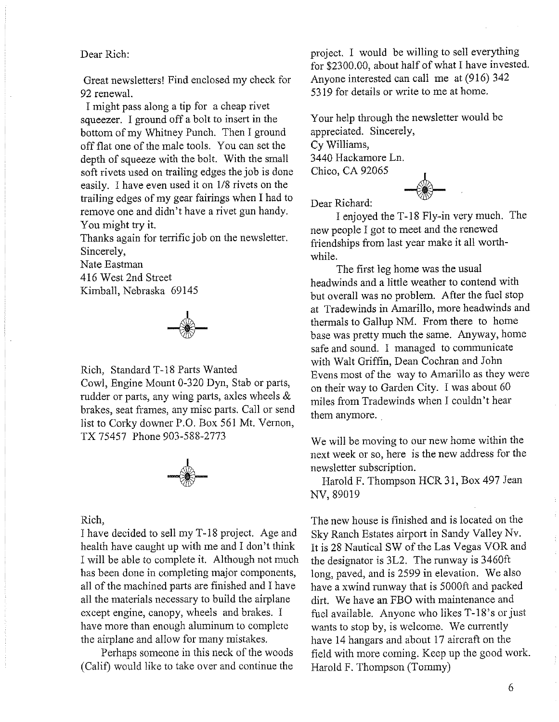#### Dear Rich:

Great newsletters! Find enclosed my check for 92 renewal.

I might pass along a tip for a cheap rivet squeezer. I ground off a bolt to insert in the bottom of my Whitney Punch. Then I ground off flat one of the male tools. You can set the depth of squeeze with the bolt. With the small soft rivets used on trailing edges the job is done easily. I have even used it on 1/8 rivets on the trailing edges of my gear fairings when I had to remove one and didn't have a rivet gun handy. You might try it.

Thanks again for terrific job on the newsletter. Sincerely,

Nate Eastman

416 West 2nd Street Kimball, Nebraska 69145



Rich, Standard T-18 Parts Wanted Cowl, Engine Mount 0-320 Dyn, Stab or parts, rudder or parts, any wing parts, axles wheels  $\&$ brakes, seat frames, any misc parts. Call or send list to Corky downer P.O. Box 561 Mt. Vernon, TX 75457 Phone 903-588-2773



#### Rich,

I have decided to sell my T -18 project. Age and health have caught up with me and I don't think I will be able to complete it. Although not much has been done in completing major components, all of the machined parts are finished and I have all the materials necessary to build the airplane except engine, canopy, wheels and brakes. I have more than enough aluminum to complete the airplane and allow for many mistakes.

Perhaps someone in this neck of the woods (Calif) would like to take over and continue the project. I would be willing to sell everything for \$2300.00, about half of what I have invested. Anyone interested can call me at (916) 342 5319 for details or write to me at home.

Your help through the newsletter would be appreciated. Sincerely, Cy Williams, 3440 Hackamore Ln. Chico, CA 92065



Dear Richard:

I enjoyed the T-18 Fly-in very much. The new people I got to meet and the renewed friendships from last year make it all worthwhile.

The first leg home was the usual headwinds and a little weather to contend with but overall was no problem. After the fuel stop at Tradewinds in Amarillo, more headwinds and thermals to Gallup NM. From there to home base was pretty much the same. Anyway, home safe and sound. I managed to communicate with Walt Griffin, Dean Cochran and John Evens most of the way to Amarillo as they were on their way to Garden City. I was about 60 miles from Tradewinds when I couldn't hear them anymore.

We will be moving to our new home within the next week or so, here is the new address for the newsletter subscription.

Harold F. Thompson HCR 31, Box 497 Jean NV,89019

The new house is finished and is located on the Sky Ranch Estates airport in Sandy Valley Nv. It is 28 Nautical SW of the Las Vegas VOR and the designator is 3L2. The runway is 3460ft long, paved, and is 2599 in elevation. We also have a xwind runway that is 5000ft and packed dirt. We have an FBO with maintenance and fuel available. Anyone who likes T-18's or just wants to stop by, is welcome. We currently have 14 hangars and about 17 aircraft on the field with more coming. Keep up the good work. Harold F. Thompson (Tommy)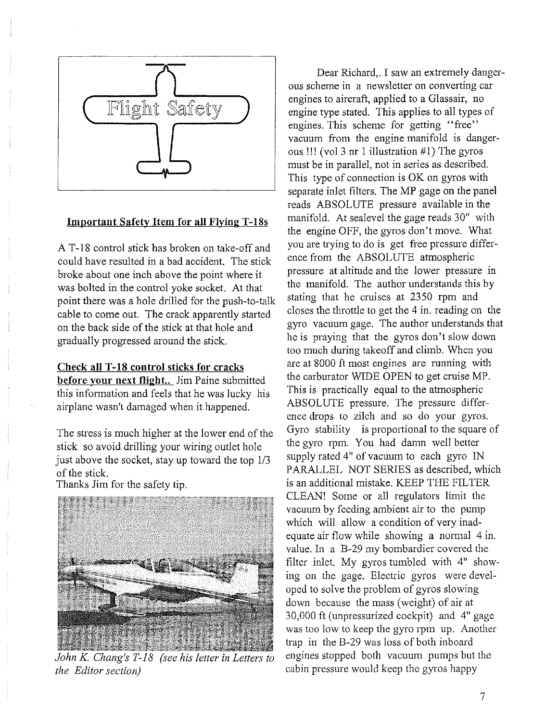

## Important Safety Item for all Flying T-18s

A T-18 control stick has broken on take-off and could have resulted in a bad accident. The stick broke about one inch above the point where it was bolted in the control yoke socket. At that point there was a hole drilled for the push-to-talk cable to come out. The crack apparently started on the back side of the stick at that hole and gradually progressed around the stick.

#### Check all T-18 control sticks for cracks

before your next flight.. Jim Paine submitted this information and feels that he was lucky his airplane wasn't damaged when it happened.

The stress is much higher at the lower end of the stick so avoid drilling your wiring outlet hole just above the socket, stay up toward the top  $1/3$ of the stick.

Thanks Jim for the safety tip.



John K. Chang's T-18 (see his letter in Letters to *the Editor section)* 

Dear Richard,. I saw an extremely dangerous scheme in a newsletter on converting car engines to aircraft, applied to a Glassair, no engine type stated. This applies to all types of engines. This scheme for getting "free" vacuum from the engine manifold is dangerous I!! (vol 3 nr 1 illustration #1) The gyros must be in parallel, not in series as described. This type of connection is OK on gyros with separate inlet filters. The MP gage on the panel reads ABSOLUTE pressure available in the manifold. At sealevel the gage reads 30" with the engine OFF, the gyros don't move. What you are trying to do is get free pressure difference from the ABSOLUTE atmospheric pressure at altitude and the lower pressure in the manifold. The author understands this by stating that he cruises at 2350 rpm and closes the throttle to get the 4 in. reading on the gyro vacuum gage. The author understands that he is praying that the gyros don't slow down too much during takeoff and climb. When you are at 8000 ft most engines are running with the carburator WIDE OPEN to get cruise MP. This is practically equal to the atmospheric ABSOLUTE pressure. The pressure difference drops to zilch and so do your gyros. Gyro stability is proportional to the square of the gyro rpm. You had damn well better supply rated 4" of vacuum to each gyro IN PARALLEL NOT SERIES as described, which is an additional mistake. KEEP THE FILTER CLEAN! Some or all regulators limit the vacuum by feeding ambient air to the pump which will allow a condition of very inadequate air flow while showing a normal 4 in. value. In a B-29 my bombardier covered the filter inlet. My gyros tumbled with 4" showing on the gage. Electric gyros were developed to solve the problem of gyros slowing down because the mass (weight) of air at 30,000 ft (unpressurized cockpit) and 4" gage was too low to keep the gyro rpm up. Another trap in the B-29 was loss of both inboard engines stopped both vacnum pumps but the cabin pressure would keep the gyros happy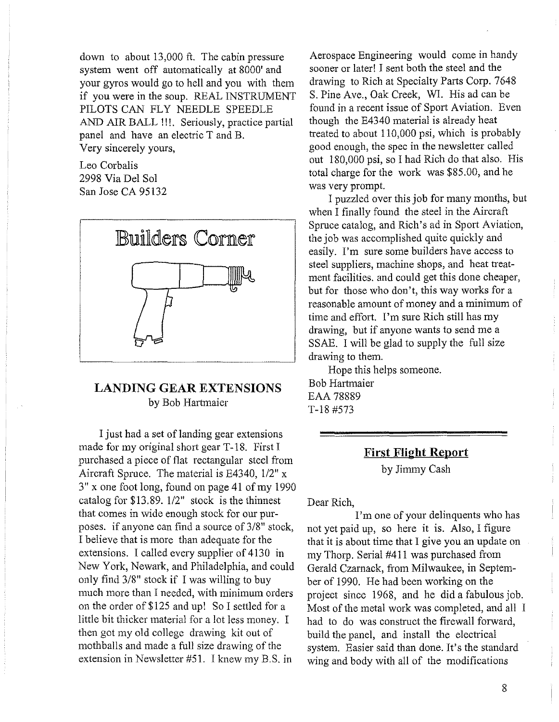down to about 13,000 ft. The cabin pressure system went off automatically at 8000' and your gyros would go to hell and you with them if you were in the soup. REAL INSTRUMENT PILOTS CAN FLY NEEDLE SPEEDLE AND AIR BALL !!!. Seriously, practice partial panel and have an electric T and B. Very sincerely yours,

Leo Corbalis 2998 Via Del Sol San Jose CA 95132



## **LANDING GEAR EXTENSIONS**  by Bob Hartmaier

I just had a set of landing gear extensions made for my original short gear T-18. First I purchased a piece of flat rectangular steel from Aircraft Spruce. The material is E4340,  $1/2$ " x 3" x one foot long, found on page 41 of my 1990 catalog for \$13.89. 1/2" stock is the thinnest that comes in wide enough stock for our purposes. if anyone can find a source of 3/8" stock, I believe that is more than adequate for the extensions. I called every supplier of 4130 in New York, Newark, and Philadelphia, and could only find 3/8" stock if I was willing to buy much more than I needed, with minimum orders on the order of \$125 and up! So I settled for a little bit thicker material for a lot less money. I then got myoId college drawing kit out of mothballs and made a full size drawing of the extension in Newsletter #51. I knew my B.S. in

Aerospace Engineering would come in handy sooner or later! I sent both the steel and the drawing to Rich at Specialty Parts Corp. 7648 S. Pine Ave., Oak Creek, WI. His ad can be found in a recent issue of Sport Aviation. Even though the E4340 material is already heat treated to about 110,000 psi, which is probably good enough, the spec in the newsletter called out 180,000 psi, so I had Rich do that also. His total charge for the work was \$85.00, and he was very prompt.

I puzzled over this job for many months, but when I finally found the steel in the Aircraft Spruce catalog, and Rich's ad in Sport Aviation, the job was accomplished quite quickly and easily. I'm sure some builders have access to steel suppliers, machine shops, and heat treatment facilities. and could get this done cheaper, but for those who don't, this way works for a reasonable amount of money and a minimum of time and effort. I'm sure Rich still has my drawing, but if anyone wants to send me a SSAE. I will be glad to supply the full size drawing to them.

Hope this helps someone. Bob Hartmaier EAA 78889 T-18 #573

> **First Flight Report**  by Jimmy Cash

Dear Rich,

I'm one of your delinquents who has not yet paid up, so here it is. Also, I figure that it is about time that I give you an update on my Thorp. Serial #411 was purchased from Gerald Czarnack, from Milwaukee, in September of 1990. He had been working on the project since 1968, and he did a fabulous job. Most of the metal work was completed, and all I had to do was construct the firewall forward, build the panel, and install the electrical system. Easier said than done. It's the standard wing and body with all of the modifications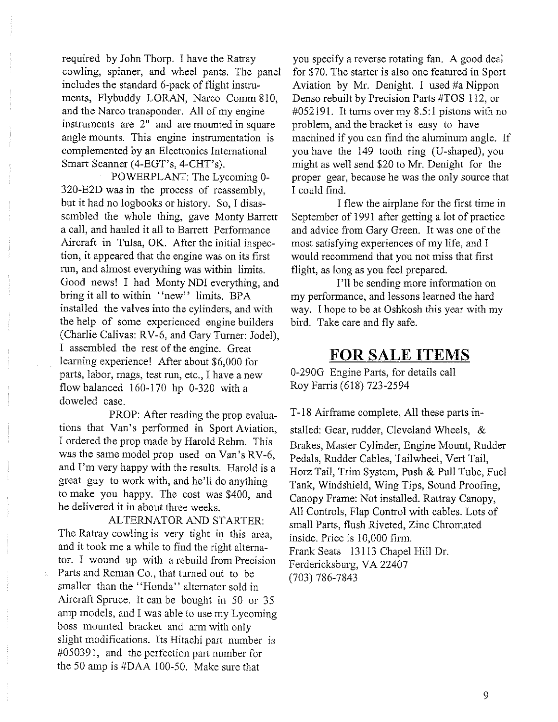required by John Thorp. I have the Ratray cowling, spinner, and wheel pants. The panel includes the standard 6-pack of flight instruments, Flybuddy LORAN, Narco Comm 810, and the Narco transponder. All of my engine instruments are 2" and are mounted in square angle mounts. This engine instrumentation is complemented by an Electronics International Smart Scanner (4-EGT's, 4-CHT's).

POWERPLANT: The Lycoming 0- 320-E2D was in the process of reassembly, but it had no logbooks or history. So, I disassembled the whole thing, gave Monty Barrett a call, and hauled it all to Barrett Performance Aircraft in Tulsa, OK. After the initial inspection, it appeared that the engine was on its first run, and almost everything was within limits. Good news! I had Monty NDI everything, and bring it all to within "new" limits. BPA installed the valves into the cylinders, and with the help of some experienced engine builders (Charlie Calivas: RV-6, and Gary Turner: Jodel), I assembled the rest of the engine. Great learning experience! After about \$6,000 for parts, labor, mags, test run, etc., I have a new flow balanced 160-170 hp 0-320 with a doweled case.

PROP: After reading the prop evaluations that Van's performed in Sport Aviation, I ordered the prop made by Harold Rehm. This was the same model prop used on Van's RV-6, and I'm very happy with the results. Harold is a great guy to work with, and he'll do anything to make you happy. The cost was \$400, and he delivered it in about three weeks.

ALTERNATOR AND STARTER: The Ratray cowling is very tight in this area, and it took me a while to find the right alternator. I wound up with a rebuild from Precision Parts and Reman Co., that turned out to be smaller than the "Honda" alternator sold in Aircraft Spruce. It can be bought in 50 or 35 amp models, and I was able to use my Lycoming boss mounted bracket and arm with only slight modifications. Its Hitachi part number is #050391, and the perfection part number for the 50 amp is #DAA 100-50. Make sure that

you specify a reverse rotating fan. A good deal for \$70. The starter is also one featured in Sport Aviation by Mr. Denight. I used #a Nippon Denso rebuilt by Precision Parts #TOS 112, or #052191. It turns over my 8.5:1 pistons with no problem, and the bracket is easy to have machined if you can find the aluminum angle. If you have the 149 tooth ring (U-shaped), you might as well send \$20 to Mr. Denight for the proper gear, because he was the only source that I could find.

I flew the airplane for the first time in September of 1991 after getting a lot of practice and advice from Gary Green. It was one of the most satisfying experiences of my life, and I would recommend that you not miss that first flight, as long as you feel prepared.

I'll be sending more information on my performance, and lessons learned the hard way. I hope to be at Oshkosh this year with my bird. Take care and fly safe.

## **FOR SALE ITEMS**

0-290G Engine Parts, for details call Roy Farris (618) 723-2594

T -18 Airframe complete, All these parts installed: Gear, rudder, Cleveland Wheels, & Brakes, Master Cylinder, Engine Mount, Rudder Pedals, Rudder Cables, Tailwheel, Vert Tail, Horz Tail, Trim System, Push & Pull Tube, Fuel Tank, Windshield, Wing Tips, Sound Proofing, Canopy Frame: Not installed. Rattray Canopy, All Controls, Flap Control with cables. Lots of small Parts, flush Riveted, Zinc Chromated inside. Price is 10,000 firm. Frank Seats 13113 Chapel Hill Dr. Ferdericksburg, VA 22407 (703) 786-7843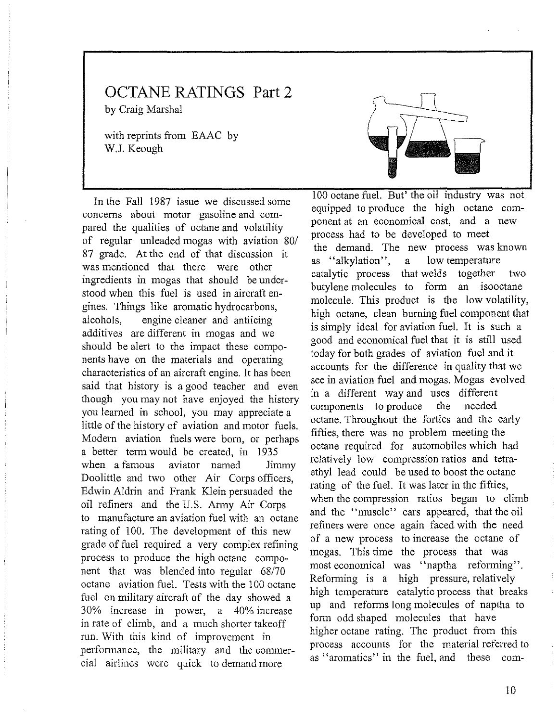## **OCTANE RATINGS Part 2**  by Craig Marshal

with reprints from EAAC by W.J. Keough

In the Fall 1987 issue we discussed some concerns about motor gasoline and compared the qualities of octane and volatility of regular unleaded mogas with aviation 80/ 87 grade. At the end of that discussion it was mentioned that there were other ingredients in mogas that should be understood when this fuel is used in aircraft engines. Things like aromatic hydrocarbons, alcohols, engine cleaner and antiicing additives are different in mogas and we should be alert to the impact these components have on the materials and operating characteristics of an aircraft engine. It has been said that history is a good teacher and even though you may not have enjoyed the history you learned in school, you may appreciate a little of the history of aviation and motor fuels. Modern aviation fuels were born, or perhaps a better term would be created, in 1935 when a famous aviator named Jimmy Doolittle and two other Air Corps officers, Edwin Aldrin and Frank Klein persuaded the oil refiners and the U.S. Army Air Corps to manufacture an aviation fuel with an octane rating of 100. The development of this new grade of fuel required a very complex refining process to produce the high octane component that was blended into regular 68/70 octane aviation fuel. Tests with the 100 octane fuel on military aircraft of the day showed a 30% increase in power, a 40% increase in rate of climb, and a much shorter takeoff run. With this kind of improvement in performance, the military and the commercial airlines were quick to demand more



100 octane fuel. But' the oil industry was not equipped to produce the high octane component at an economical cost, and a new process had to be developed to meet the demand. The new process was known as "alkylation", a low temperature catalytic process that welds together two butylene molecules to form an isooctane molecule. This product is the low volatility, high octane, clean burning fuel component that is simply ideal for aviation fuel. It is such a good and economical fuel that it is still used today for both grades of aviation fuel and it accounts for the difference in quality that we see in aviation fuel and mogas. Mogas evolved in a different way and uses different components to produce the needed octane. Throughout the forties and the early fifties, there was no problem meeting the octane required for automobiles which had relatively low compression ratios and tetraethyl lead could be used to boost the octane rating of the fuel. It was later in the fifties, when the compression ratios began to climb and the "muscle" cars appeared, that the oil refiners were once again faced with the need of a new process to increase the octane of mogas. This time the process that was most economical was "naptha reforming". Reforming is a high pressure, relatively high temperature catalytic process that breaks up and reforms long molecules of naptha to form odd shaped molecules that have higher octane rating. The product from this process accounts for the material referred to as "aromatics" in the fuel, and these com-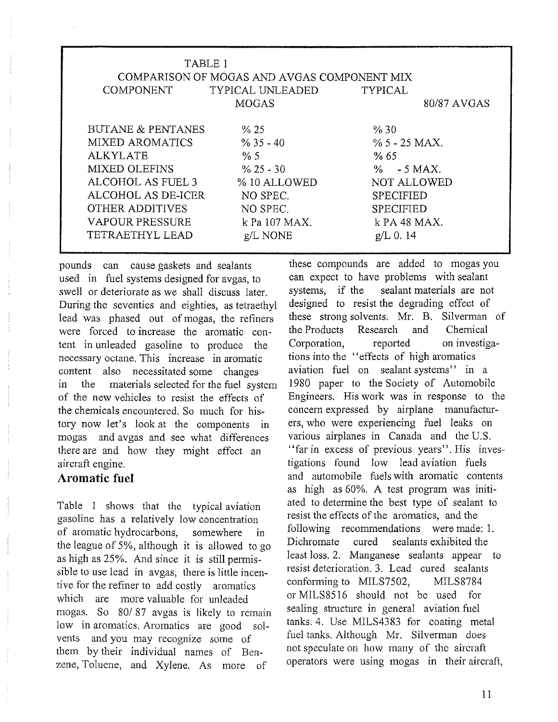| TABLE 1                |                                                                 |                  |
|------------------------|-----------------------------------------------------------------|------------------|
| <b>COMPONENT</b>       | COMPARISON OF MOGAS AND AVGAS COMPONENT MIX<br>TYPICAL UNLEADED | <b>TYPICAL</b>   |
|                        | <b>MOGAS</b>                                                    | 80/87 AVGAS      |
| BUTANE & PENTANES      | % 25                                                            | % 30             |
| <b>MIXED AROMATICS</b> | $\%$ 35 - 40                                                    | $\%$ 5 - 25 MAX. |
| <b>ALKYLATE</b>        | $\% 5$                                                          | %65              |
| <b>MIXED OLEFINS</b>   | $\%$ 25 - 30                                                    | $\%$ - 5 MAX.    |
| ALCOHOL AS FUEL 3      | % 10 ALLOWED                                                    | NOT ALLOWED      |
| ALCOHOL AS DE-ICER     | NO SPEC.                                                        | <b>SPECIFIED</b> |
| <b>OTHER ADDITIVES</b> | NO SPEC.                                                        | <b>SPECIFIED</b> |
| <b>VAPOUR PRESSURE</b> | k Pa 107 MAX.                                                   | $k$ PA 48 MAX.   |
| TETRAETHYL LEAD        | g/L NONE                                                        | $g/L$ 0.14       |
|                        |                                                                 |                  |

pounds can cause gaskets and sealants used in fuel systems designed for avgas, to swell or deteriorate as we shall discuss later. During the seventies and eighties, as tetraethyl lead was phased out of mogas, the refiners were forced to increase the aromatic content in unleaded gasoline to produce the necessary octane. This increase in aromatic content also necessitated some changes in the materials selected for the fuel system of the new vehicles to resist the effects of the chemicals encountered. So much for history now let's look at the components in mogas and avgas and see what differences there are and how they might effect an aircraft engine.

## **Aromatic fuel**

Table 1 shows that the typical aviation gasoline has a relatively low concentration of aromatic hydrocarbons, somewhere the leagne of 5%, although it is allowed to go as high as 25%. And since it is still permissible to use lead in avgas, there is little incentive for the refiner to add costly aromatics which are more valuable for unleaded mogas. So 80/87 avgas is likely to remain low in aromatics. Aromatics are good solvents and you may recognize some of them by their individual names of Benzene, Toluene, and Xylene. As more of

these compounds are added to mogas you can expect to have problems with sealant systems, if the sealant materials are not designed to resist the degrading effect of these strong solvents. Mr. B. Silverman of the Products Research and Chemical Corporation, reported on investigations into the "effects of high aromatics aviation fuel on sealant systems" in a 1980 paper to the Society of Automobile Engineers. His work was in response to the concern expressed by airplane manufacturers, who were experiencing fuel leaks on various airplanes in Canada and the U.S. "far in excess of previous years". His investigations found low lead aviation fuels and automobile fuels with aromatic contents as high as 60%. A test program was initiated to determine the best type of sealant to resist the effects of the aromatics, and the following recommendations were made: 1. Dichromate cured sealants exhibited the least loss. 2. Manganese sealants appear to resist deterioration. 3. Lead cured sealants conforming to MILS7502, MILS8784 or MILS8516 should not be used for sealing structure in general aviation fuel tanks. 4. Use MILS4383 for coating metal fuel tanks. Although Mr. Silverman does not speculate on how many of the aircraft operators were using mogas in their aircraft,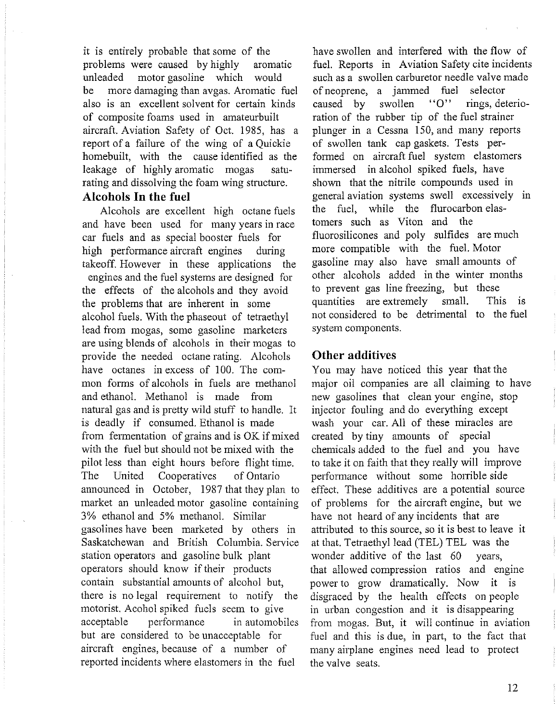it is entirely probable that some of the problems were caused by highly aromatic unleaded motor gasoline which would be more damaging than avgas. Aromatic fuel also is an excellent solvent for certain kinds of composite foams used in amateurbuilt aircraft. Aviation Safety of Oct. 1985, has a report of a failure of the wing of a Quickie homebuilt, with the cause identified as the leakage of highly aromatic mogas saturating and dissolving the foam wing structure.

## **Alcohols In the fuel**

Alcohols are excellent high octane fuels and have been used for many years in race car fuels and as special booster fuels for high performance aircraft engines during takeoff. However in these applications the engines and the fuel systems are designed for the effects of the alcohols and they avoid the problems that are inherent in some alcohol fuels. With the phaseout of tetraethyl lead from mogas, some gasoline marketers are using blends of alcohols in their mogas to provide the needed octane rating. Alcohols have octanes in excess of 100. The common forms of alcohols in fuels are methanol and ethanol. Methanol is made from natural gas and is pretty wild stuff to handle. It is deadly if consumed. Ethanol is made from fermentation of grains and is OK if mixed with the fuel but should not be mixed with the pilot less than eight hours before flight time. The United Cooperatives of Ontario announced in October, 1987 that they plan to market an unleaded motor gasoline containing 3% ethanol and 5% methanol. Similar gasolines have been marketed by others in Saskatchewan and British Columbia. Service station operators and gasoline bulk plant operators should know if their products contain substantial amonnts of alcohol but, there is no legal requirement to notify the motorist. Acohol spiked fuels seem to give acceptable performance in automobiles but are considered to be unacceptable for aircraft engines, because of a number of reported incidents where elastomers in the fuel

have swollen and interfered with the flow of fuel. Reports in Aviation Safety cite incidents such as a swollen carburetor needle valve made of neoprene, a jammed fuel selector caused by swollen "O" rings, deterioration of the rubber tip of the fuel strainer plunger in a Cessna 150, and many reports of swollen tank cap gaskets. Tests performed on aircraft fuel system elastomers immersed in alcohol spiked fuels, have shown that the nitrile compounds used in general aviation systems swell excessively in the fuel, while the flurocarbon elastomers such as Viton and the fluorosilicones and poly sulfides are much more compatible with the fuel. Motor gasoline may also have small amounts of other alcohols added in the winter months to prevent gas line freezing, but these quantities are extremely small. not considered to be detrimental to the fuel system components. This is

## **Other additives**

You may have noticed this year that the major oil companies are all claiming to have new gasolines that clean your engine, stop injector fouling and do everything except wash your car. All of these miracles are created by tiny amounts of special chemicals added to the fuel and you have to take it on faith that they really will improve performance without some horrible side effect. These additives are a potential source of problems for the aircraft engine, but we have not heard of any incidents that are attributed to this source, so it is best to leave it at that. Tetraethyl lead (TEL) TEL was the wonder additive of the last 60 years, that allowed compression ratios and engine power to grow dramatically. Now it is disgraced by the health effects on people in urban congestion and it is disappearing from mogas. But, it will continue in aviation fuel and this is due, in part, to the fact that many airplane engines need lead to protect the valve seats.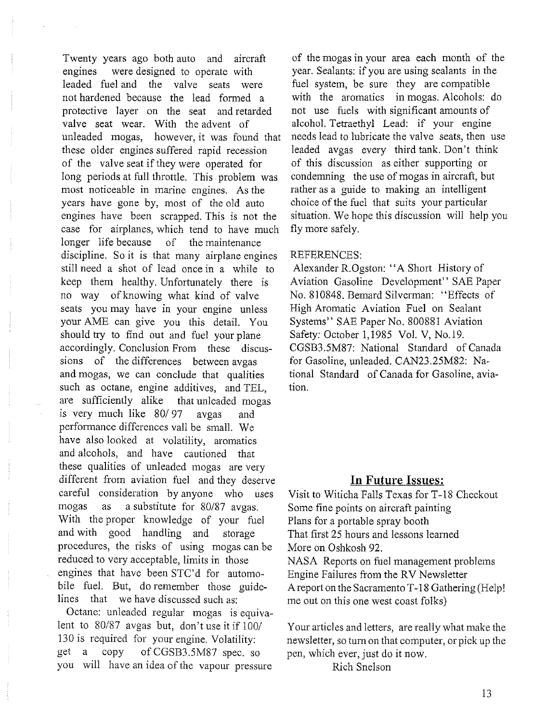Twenty years ago both auto and aircraft engines were designed to operate with leaded fuel and the valve seats were not hardened because the lead formed a protective layer on the seat and retarded valve seat wear. With the advent of unleaded mogas, however, it was found that these older engines suffered rapid recession of the valve seat if they were operated for long periods at full throttle. This problem was most noticeable in marine engines. As the years have gone by, most of the old auto engines have been scrapped. This is not the case for airplanes, which tend to have much longer life because of the maintenance discipline. So it is that many airplane engines still need a shot of lead once in a while to keep them healthy. Unfortunately there is no way of knowing what kind of valve seats you may have in your engine unless your AME can give you this detail. You should try to find out and fuel your plane accordingly. Conclusion From these discussions of the differences between avgas and mogas, we can conclude that qualities such as octane, engine additives, and TEL, are sufficiently alike that unleaded mogas is very much like 80/97 avgas and performance differences vall be small. We have also looked at volatility, aromatics and alcohols, and have cautioned that these qualities of unleaded mogas are very different from aviation fuel and they deserve careful consideration by anyone who uses mogas as a substitute for 80/87 avgas. With the proper knowledge of your fuel and with good handling and storage procedures, the risks of using mogas can be reduced to very acceptable, limits in those engines that have been STC'd for automobile fuel. But, do remember those guidelines that we have discussed such as:

Octane: unleaded regular mogas is equivalent to  $80/87$  avgas but, don't use it if  $100/$ 130 is required for your engine. Volatility: get a copy of CGSB3.5M87 spec. so you will have an idea of the vapour pressure

of the mogas in your area each month of the year. Sealants: if you are using sealants in the fuel system, be sure they are compatible with the aromatics in mogas. Alcohols: do not use fuels with significant amonnts of alcohol. Tetraethyl Lead: if your engine needs lead to lubricate the valve seats, then use leaded avgas every third tank. Don't think of this discussion as either supporting or condemning the use of mogas in aircraft, but rather as a guide to making an intelligent choice of the fuel that suits your particular situation. We hope this discussion will help you fly more safely.

#### REFERENCES:

Alexander R.Ogston: "A Short History of Aviation Gasoline Development" SAE Paper No. 810848. Bernard Silverman: "Effects of High Aromatic Aviation Fuel on Sealant Systems" SAE Paper No. 800881 Aviation Safety: October 1,1985 Vol. V, No.19. CGSB3.5M87: National Standard of Canada for Gasoline, unleaded. CAN23.25M82: National Standard of Canada for Gasoline, aviation.

## **In Future Issues:**

Visit to Witicha Falls Texas for T-18 Checkout Some fine points on aircraft painting Plans for a portable spray booth That first 25 hours and lessons learned More on Oshkosh 92. NASA Reports on fuel management problems Engine Failures from the RV Newsletter A report on the Sacramento T -18 Gathering (Help! me ont on this one west coast folks)

Your articles and letters, are really what make the newsletter, so turn on that computer, or pick up the pen, which ever, just do it now.

Rich Snelson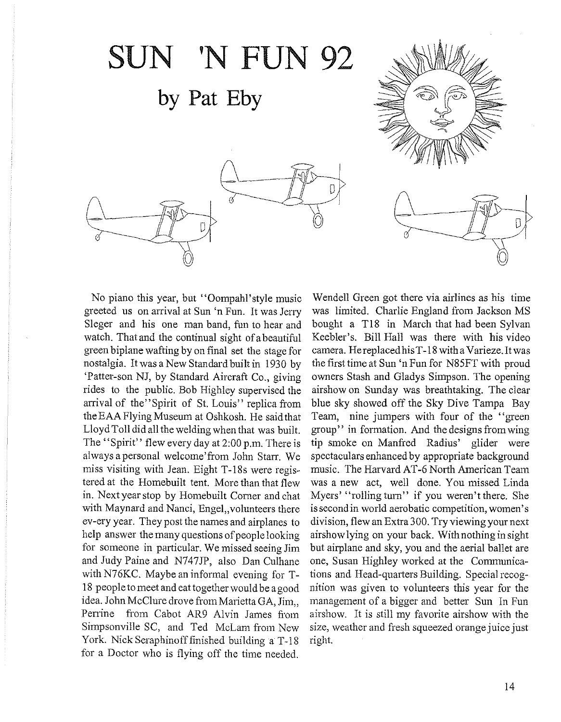



Lloyd Toll did all the welding when that was built. group" in formation. And the designs from wing The "Spirit" flew every day at 2:00 p.m. There is tip smoke on Manfred Radius' glider were always a personal welcome' from John Starr. We spectaculars enhanced by appropriate background miss visiting with Jean. Eight T-18s were regis- music. The Harvard AT -6 North American Team tered at the Homebuilt tent. More than that flew was a new act, well done. You missed Linda in. Next year stop by Homebuilt Comer and chat Myers' "rolling tum" if you weren't there. She with Maynard and Nanci, Engel,, volunteers there is second in world aerobatic competition, women's ev-ery year. They post the names and airplanes to division, flew an Extra 300. Try viewing your next help answer the many questions of people looking airshow lying on your back. With nothing in sight for someone in particular. We missed seeing Jim but airplane and sky, you and the aerial ballet are and Judy Paine and N747JP, also Dan Culhane one, Susan Highley worked at the Communicawith N76KC. Maybe an informal evening for T- tions and Head-quarters Building. Special recog-18 peopletomeetandeattogetherwouldbeagood nition was given to volunteers this year for the idea. John McClure drove from Marietta GA, Jim,, management of a bigger and better Sun In Fun<br>Perrine from Cabot AR9 Alvin James from airshow. It is still my favorite airshow with the Simpsonville SC, and Ted McLam from New size, weather and fresh squeezed orange juice just York. Nick Seraphinoff finished building a T-18 right. for a Doctor who is flying off the time needed.

No piano this year, but "Oompahl'style music Wendell Green got there via airlines as his time greeted us on arrival at Sun 'n Fun. It was Jerry was limited. Charlie England from Jackson MS SIeger and his one man band, fun to hear and bought a T18 in March that had been Sylvan watch. That and the continual sight of a beautiful Keebler's. Bill Hall was there with his video green biplane wafting by on final set the stage for camera. HereplacedhisT -18 with a Varieze. It was nostalgia. It was a New Standard built in 1930 by the first time at Sun 'n Fun for N85FT with proud 'Patter-son NJ, by Standard Aircraft Co., giving owners Stash and Gladys Simpson. The opening rides to the public. Bob Highley supervised the airshowon Sunday was breathtaking. The clear arrival of the"Spirit of St. Louis" replica from blue sky showed off the Sky Dive Tampa Bay the EAA Flying Museum at Oshkosh. He said that Team, nine jumpers with four of the "green airshow. It is still my favorite airshow with the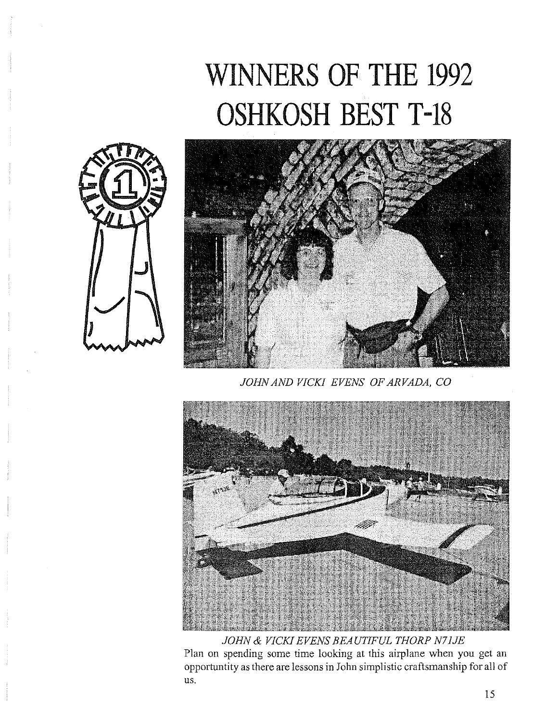## **WINNERS OF THE 1992 OSHKOSH BEST T-18**





*JOHN AND VICKI EVENS OF ARVADA,* CO



*JOHN* & *VICKI EVENS BEA UTIFUL THORP N7lJE*  Plan on spending some time looking at this airplane when you get an opportuntity as there are lessons in John simplistic craftsmanship for all of us.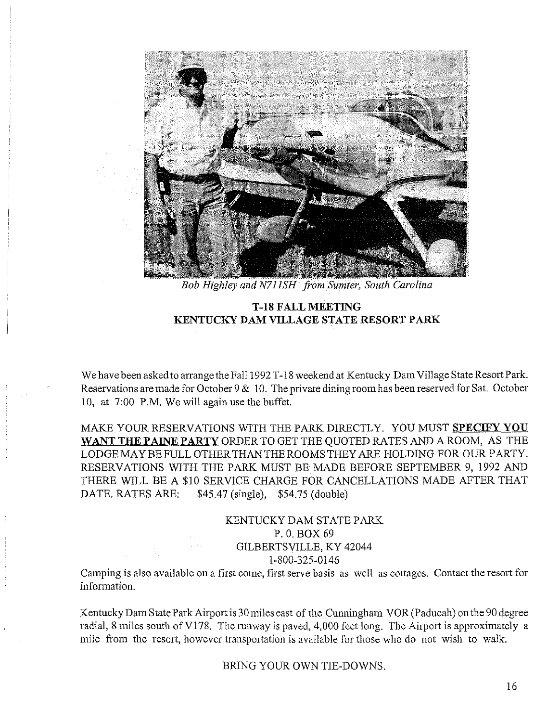

*Bob Highley and N711 SH from Sumter, South* 

## **T-IS FALL MEETING KENTUCKY DAM VILLAGE STATE RESORT PARK**

We have been asked to arrange the Fall 1992 T-18 weekend at Kentucky Dam Village State Resort Park. Reservations are made for October 9 & 10. The private dining room has been reserved for Sat. October 10, at 7:00 P.M. We will again use the buffet.

MAKE YOUR RESERVATIONS WITH THE PARK DIRECTLY. YOU MUST **SPECIFY YOU WANT THE PAINE PARTY** ORDER TO GET THE QUOTED RATES AND A ROOM, AS THE LODGE MAY BE FULL OTHER THAN THE ROOMS THEY ARE HOLDING FOR OUR PARTY. RESERVATIONS WITH THE PARK MUST BE MADE BEFORE SEPTEMBER 9,1992 AND THERE WILL BE A \$10 SERVICE CHARGE FOR CANCELLATIONS MADE AFTER THAT DATE. RATES ARE:  $$45.47$  (single),  $$54.75$  (double)

## KENTUCKY DAM STATE PARK P. O. BOX 69 GILBERTSVILLE, KY 42044 1-800-325-0146

Camping is also available on a first come, first serve basis as well as cottages. Contact the resort for information.

Kentucky Dam State Park Airport is 30 miles east of the Cunningham VOR (Paducah) on the 90 degree radial, 8 miles south of V178. The runway is paved, 4,000 feet long. The Airport is approximately a mile from the resort, however transportation is available for those who do not wish to walk.

BRING YOUR OWN TIE-DOWNS.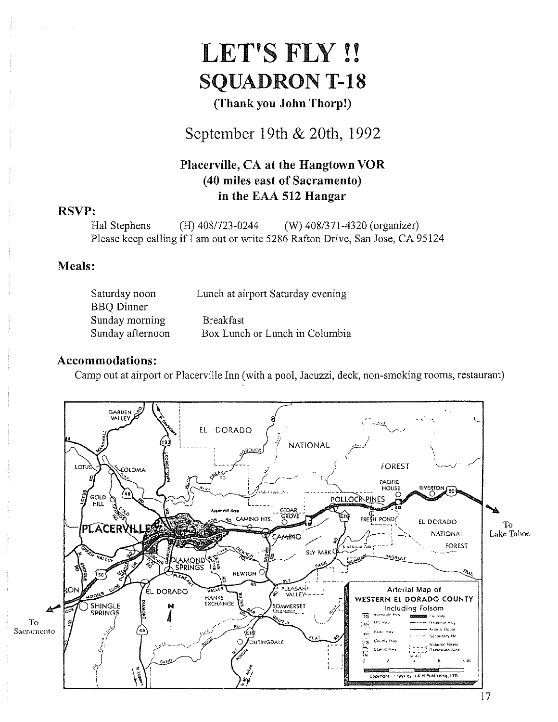## LET'S FLY !! SQUADRON T-18

## (Thank you John Thorp!)

September 19th & 20th, 1992

## Placerville, CA at the Hangtown VOR (40 miles east of Sacramento) in the EAA 512 Hangar

## RSVP:

Hal Stephens (H) 408/723-0244 (W) 408/371-4320 (organizer) Please keep calling if I am out or write 5286 Rafton Drive, San Jose, CA 95124

## Meals:

| Saturday noon    | Lunch at airport Saturday evening |  |
|------------------|-----------------------------------|--|
| BBQ Dinner       |                                   |  |
| Sunday morning   | <b>Breakfast</b>                  |  |
| Sunday afternoon | Box Lunch or Lunch in Columbia    |  |

## Accommodations:

Camp out at airport or Placerville Inn (with a pool, Jacuzzi, deck, non-smoking rooms, restaurant)